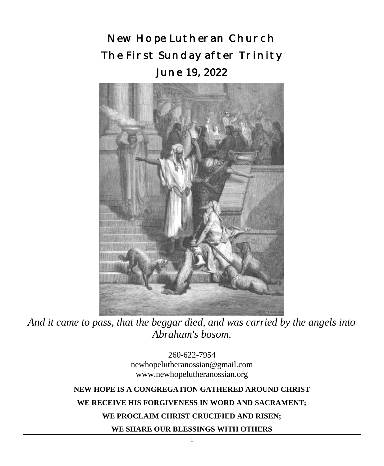New Hope Lutheran Church The First Sunday after Trinity June 19, 2022



*And it came to pass, that the beggar died, and was carried by the angels into Abraham's bosom.*

260-622-7954 newhopelutheranossian@gmail.com www.newhopelutheranossian.org

## **NEW HOPE IS A CONGREGATION GATHERED AROUND CHRIST**

#### **WE RECEIVE HIS FORGIVENESS IN WORD AND SACRAMENT;**

### **WE PROCLAIM CHRIST CRUCIFIED AND RISEN;**

**WE SHARE OUR BLESSINGS WITH OTHERS**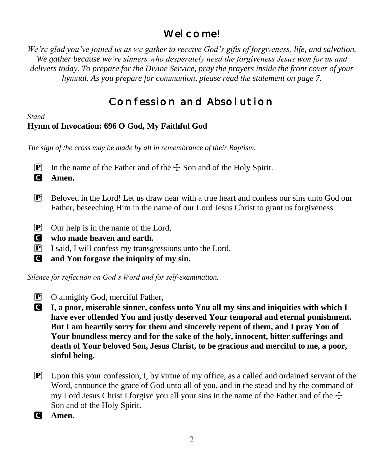# Wel come!

*We're glad you've joined us as we gather to receive God's gifts of forgiveness, life, and salvation. We gather because we're sinners who desperately need the forgiveness Jesus won for us and delivers today. To prepare for the Divine Service, pray the prayers inside the front cover of your hymnal. As you prepare for communion, please read the statement on page 7.*

# Confession and Absolution

*Stand*

# **Hymn of Invocation: 696 O God, My Faithful God**

*The sign of the cross may be made by all in remembrance of their Baptism.*

**P** In the name of the Father and of the  $\pm$  Son and of the Holy Spirit.

C **Amen.**

- $\mathbf{P}$  Beloved in the Lord! Let us draw near with a true heart and confess our sins unto God our Father, beseeching Him in the name of our Lord Jesus Christ to grant us forgiveness.
- P Our help is in the name of the Lord,
- C **who made heaven and earth.**
- P I said, I will confess my transgressions unto the Lord,
- C **and You forgave the iniquity of my sin.**

*Silence for reflection on God's Word and for self-examination.*

- P O almighty God, merciful Father,
- C **I, a poor, miserable sinner, confess unto You all my sins and iniquities with which I have ever offended You and justly deserved Your temporal and eternal punishment. But I am heartily sorry for them and sincerely repent of them, and I pray You of Your boundless mercy and for the sake of the holy, innocent, bitter sufferings and death of Your beloved Son, Jesus Christ, to be gracious and merciful to me, a poor, sinful being.**
- $\mathbb{P}$  Upon this your confession, I, by virtue of my office, as a called and ordained servant of the Word, announce the grace of God unto all of you, and in the stead and by the command of my Lord Jesus Christ I forgive you all your sins in the name of the Father and of the  $\pm$ Son and of the Holy Spirit.
- C **Amen.**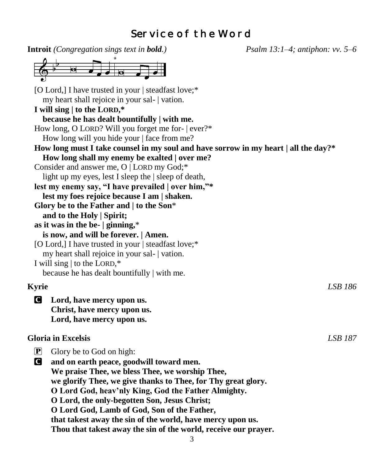# Service of the Word

**Introit** *(Congregation sings text in bold.) Psalm 13:1–4; antiphon: vv. 5–6* [O Lord,] I have trusted in your | steadfast love;\* my heart shall rejoice in your sal- | vation. **I will sing | to the LORD,\* because he has dealt bountifully | with me.** How long, O LORD? Will you forget me for- | ever?\* How long will you hide your | face from me? **How long must I take counsel in my soul and have sorrow in my heart | all the day?\* How long shall my enemy be exalted | over me?** Consider and answer me, O | LORD my God;\* light up my eyes, lest I sleep the | sleep of death, **lest my enemy say, "I have prevailed | over him,"\* lest my foes rejoice because I am | shaken. Glory be to the Father and | to the Son**\* **and to the Holy | Spirit; as it was in the be- | ginning,**\* **is now, and will be forever. | Amen.** [O Lord,] I have trusted in your | steadfast love;\* my heart shall rejoice in your sal- | vation. I will sing | to the LORD,\* because he has dealt bountifully | with me. **Kyrie** *LSB 186* C **Lord, have mercy upon us. Christ, have mercy upon us. Lord, have mercy upon us. Gloria in Excelsis** *LSB 187*  $\overline{P}$  Glory be to God on high: C **and on earth peace, goodwill toward men. We praise Thee, we bless Thee, we worship Thee, we glorify Thee, we give thanks to Thee, for Thy great glory. O Lord God, heav'nly King, God the Father Almighty. O Lord, the only-begotten Son, Jesus Christ; O Lord God, Lamb of God, Son of the Father, that takest away the sin of the world, have mercy upon us. Thou that takest away the sin of the world, receive our prayer.**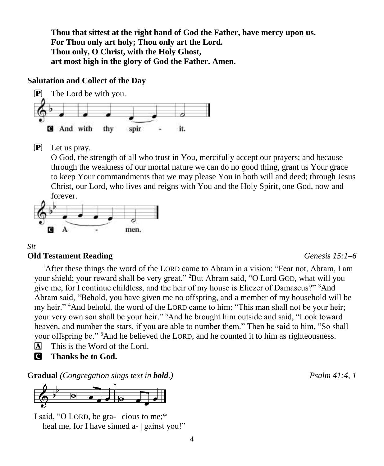**Thou that sittest at the right hand of God the Father, have mercy upon us. For Thou only art holy; Thou only art the Lord. Thou only, O Christ, with the Holy Ghost, art most high in the glory of God the Father. Amen.**

## **Salutation and Collect of the Day**



 $\overline{P}$  Let us pray.

O God, the strength of all who trust in You, mercifully accept our prayers; and because through the weakness of our mortal nature we can do no good thing, grant us Your grace to keep Your commandments that we may please You in both will and deed; through Jesus Christ, our Lord, who lives and reigns with You and the Holy Spirit, one God, now and forever.



### *Sit*

#### **Old Testament Reading** *Genesis 15:1–6*

<sup>1</sup>After these things the word of the LORD came to Abram in a vision: "Fear not, Abram, I am your shield; your reward shall be very great." <sup>2</sup>But Abram said, "O Lord GOD, what will you give me, for I continue childless, and the heir of my house is Eliezer of Damascus?" <sup>3</sup>And Abram said, "Behold, you have given me no offspring, and a member of my household will be my heir." <sup>4</sup>And behold, the word of the LORD came to him: "This man shall not be your heir; your very own son shall be your heir." <sup>5</sup>And he brought him outside and said, "Look toward heaven, and number the stars, if you are able to number them." Then he said to him, "So shall your offspring be." <sup>6</sup>And he believed the LORD, and he counted it to him as righteousness.

- $\overline{A}$  This is the Word of the Lord.
- C **Thanks be to God.**

**Gradual** *(Congregation sings text in bold.) Psalm 41:4, 1*



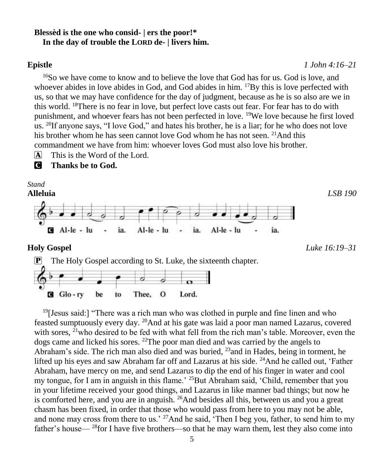#### **Blessèd is the one who consid- | ers the poor!\* In the day of trouble the LORD de- | livers him.**

#### **Epistle** *1 John 4:16–21*

<sup>16</sup>So we have come to know and to believe the love that God has for us. God is love, and whoever abides in love abides in God, and God abides in him. <sup>17</sup>By this is love perfected with us, so that we may have confidence for the day of judgment, because as he is so also are we in this world. <sup>18</sup>There is no fear in love, but perfect love casts out fear. For fear has to do with punishment, and whoever fears has not been perfected in love. <sup>19</sup>We love because he first loved us. <sup>20</sup>If anyone says, "I love God," and hates his brother, he is a liar; for he who does not love his brother whom he has seen cannot love God whom he has not seen. <sup>21</sup>And this commandment we have from him: whoever loves God must also love his brother.

 $\overline{A}$  This is the Word of the Lord.

C **Thanks be to God.**

*Stand*



**Holy Gospel** *Luke 16:19–31*



 $19$ [Jesus said:] "There was a rich man who was clothed in purple and fine linen and who feasted sumptuously every day. <sup>20</sup>And at his gate was laid a poor man named Lazarus, covered with sores,  $^{21}$ who desired to be fed with what fell from the rich man's table. Moreover, even the dogs came and licked his sores. <sup>22</sup>The poor man died and was carried by the angels to Abraham's side. The rich man also died and was buried,  $^{23}$  and in Hades, being in torment, he lifted up his eyes and saw Abraham far off and Lazarus at his side. <sup>24</sup>And he called out, 'Father Abraham, have mercy on me, and send Lazarus to dip the end of his finger in water and cool my tongue, for I am in anguish in this flame.<sup>' 25</sup>But Abraham said, 'Child, remember that you in your lifetime received your good things, and Lazarus in like manner bad things; but now he is comforted here, and you are in anguish. <sup>26</sup>And besides all this, between us and you a great chasm has been fixed, in order that those who would pass from here to you may not be able, and none may cross from there to us.' <sup>27</sup>And he said, 'Then I beg you, father, to send him to my father's house— $^{28}$ for I have five brothers—so that he may warn them, lest they also come into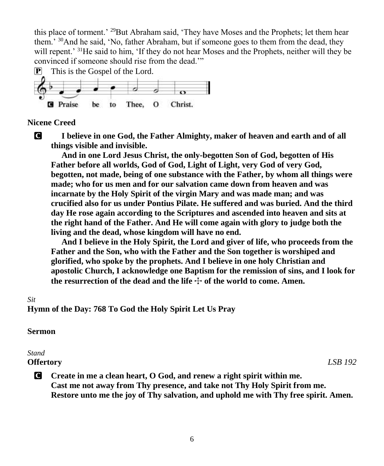this place of torment.' <sup>29</sup>But Abraham said, 'They have Moses and the Prophets; let them hear them.' <sup>30</sup>And he said, 'No, father Abraham, but if someone goes to them from the dead, they will repent.' <sup>31</sup>He said to him, 'If they do not hear Moses and the Prophets, neither will they be convinced if someone should rise from the dead.'"



#### **Nicene Creed**

C **I believe in one God, the Father Almighty, maker of heaven and earth and of all things visible and invisible.**

 **And in one Lord Jesus Christ, the only-begotten Son of God, begotten of His Father before all worlds, God of God, Light of Light, very God of very God, begotten, not made, being of one substance with the Father, by whom all things were made; who for us men and for our salvation came down from heaven and was incarnate by the Holy Spirit of the virgin Mary and was made man; and was crucified also for us under Pontius Pilate. He suffered and was buried. And the third day He rose again according to the Scriptures and ascended into heaven and sits at the right hand of the Father. And He will come again with glory to judge both the living and the dead, whose kingdom will have no end.** 

 **And I believe in the Holy Spirit, the Lord and giver of life, who proceeds from the Father and the Son, who with the Father and the Son together is worshiped and glorified, who spoke by the prophets. And I believe in one holy Christian and apostolic Church, I acknowledge one Baptism for the remission of sins, and I look for**  the resurrection of the dead and the life  $\pm$  of the world to come. Amen.

#### *Sit*

**Hymn of the Day: 768 To God the Holy Spirit Let Us Pray**

### **Sermon**

### *Stand* **Offertory** *LSB 192*

C **Create in me a clean heart, O God, and renew a right spirit within me. Cast me not away from Thy presence, and take not Thy Holy Spirit from me. Restore unto me the joy of Thy salvation, and uphold me with Thy free spirit. Amen.**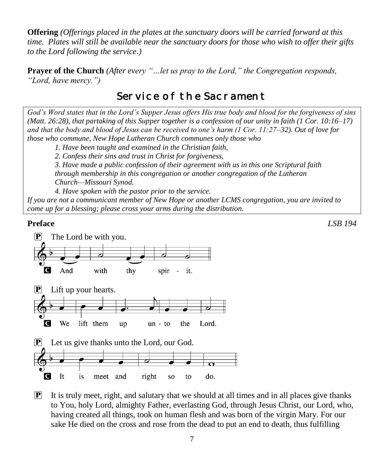**Offering** *(Offerings placed in the plates at the sanctuary doors will be carried forward at this time. Plates will still be available near the sanctuary doors for those who wish to offer their gifts to the Lord following the service.)*

**Prayer of the Church** *(After every "…let us pray to the Lord," the Congregation responds, "Lord, have mercy.")*

# Service of the Sacrament

*God's Word states that in the Lord's Supper Jesus offers His true body and blood for the forgiveness of sins (Matt. 26:28), that partaking of this Supper together is a confession of our unity in faith (1 Cor. 10:16–17) and that the body and blood of Jesus can be received to one's harm (1 Cor. 11:27–32). Out of love for those who commune, New Hope Lutheran Church communes only those who*

*1. Have been taught and examined in the Christian faith,* 

*2. Confess their sins and trust in Christ for forgiveness,* 

*3. Have made a public confession of their agreement with us in this one Scriptural faith through membership in this congregation or another congregation of the Lutheran Church—Missouri Synod.* 

*4. Have spoken with the pastor prior to the service.*

*If you are not a communicant member of New Hope or another LCMS congregation, you are invited to come up for a blessing; please cross your arms during the distribution.*

### **Preface** *LSB 194*



 $\mathbf{P}$  It is truly meet, right, and salutary that we should at all times and in all places give thanks to You, holy Lord, almighty Father, everlasting God, through Jesus Christ, our Lord, who, having created all things, took on human flesh and was born of the virgin Mary. For our sake He died on the cross and rose from the dead to put an end to death, thus fulfilling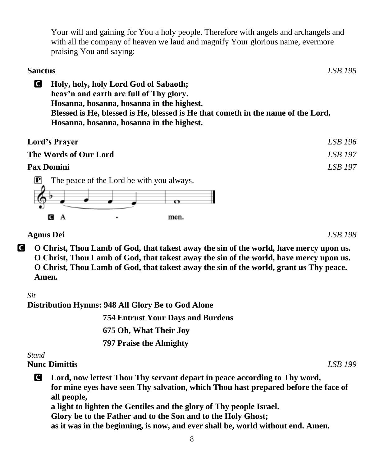Your will and gaining for You a holy people. Therefore with angels and archangels and with all the company of heaven we laud and magnify Your glorious name, evermore praising You and saying:

# **Sanctus** *LSB 195* C **Holy, holy, holy Lord God of Sabaoth; heav'n and earth are full of Thy glory. Hosanna, hosanna, hosanna in the highest. Blessed is He, blessed is He, blessed is He that cometh in the name of the Lord. Hosanna, hosanna, hosanna in the highest. Lord's Prayer** *LSB 196* **The Words of Our Lord** *LSB 197* **Pax Domini** *LSB 197*

 $\mathbf{P}$  The peace of the Lord be with you always.



**Agnus Dei** *LSB 198*

C **O Christ, Thou Lamb of God, that takest away the sin of the world, have mercy upon us. O Christ, Thou Lamb of God, that takest away the sin of the world, have mercy upon us. O Christ, Thou Lamb of God, that takest away the sin of the world, grant us Thy peace. Amen.**

*Sit*

**Distribution Hymns: 948 All Glory Be to God Alone**

 **754 Entrust Your Days and Burdens 675 Oh, What Their Joy 797 Praise the Almighty**

*Stand*

# **Nunc Dimittis** *LSB 199*

C **Lord, now lettest Thou Thy servant depart in peace according to Thy word, for mine eyes have seen Thy salvation, which Thou hast prepared before the face of all people, a light to lighten the Gentiles and the glory of Thy people Israel. Glory be to the Father and to the Son and to the Holy Ghost; as it was in the beginning, is now, and ever shall be, world without end. Amen.**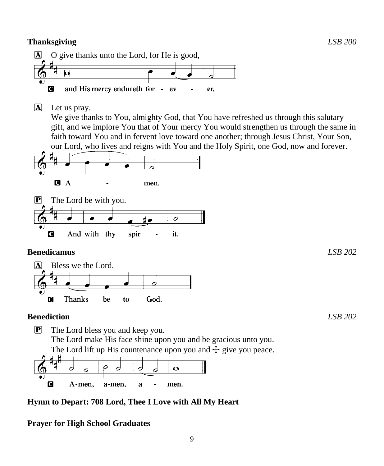

- P The Lord bless you and keep you. The Lord make His face shine upon you and be gracious unto you. The Lord lift up His countenance upon you and  $\pm$  give you peace.  $\overline{\mathbf{o}}$ d  $\overline{\sigma}$ Ō
- O A-men, a-men. a men.

## **Hymn to Depart: 708 Lord, Thee I Love with All My Heart**

## **Prayer for High School Graduates**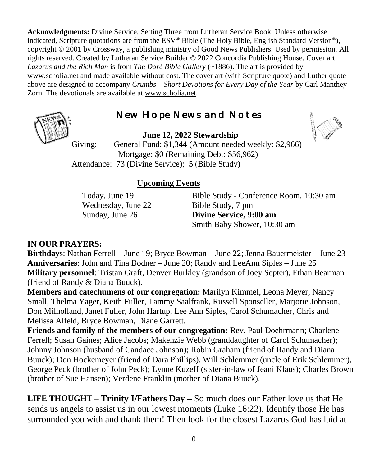**Acknowledgments:** Divine Service, Setting Three from Lutheran Service Book, Unless otherwise indicated, Scripture quotations are from the ESV® Bible (The Holy Bible, English Standard Version®), copyright © 2001 by Crossway, a publishing ministry of Good News Publishers. Used by permission. All rights reserved. Created by Lutheran Service Builder © 2022 Concordia Publishing House. Cover art: *Lazarus and the Rich Man* is from *The Doré Bible Gallery* (~1886). The art is provided by www.scholia.net and made available without cost. The cover art (with Scripture quote) and Luther quote above are designed to accompany *Crumbs – Short Devotions for Every Day of the Year* by Carl Manthey Zorn. The devotionals are available at [www.scholia.net.](http://www.scholia.net/)

# New Hope News and Notes

**June 12, 2022 Stewardship**



Giving: General Fund: \$1,344 (Amount needed weekly: \$2,966) Mortgage: \$0 (Remaining Debt: \$56,962) Attendance: 73 (Divine Service); 5 (Bible Study)

## **Upcoming Events**

Wednesday, June 22 Bible Study, 7 pm

Today, June 19 Bible Study - Conference Room, 10:30 am Sunday, June 26 **Divine Service, 9:00 am**  Smith Baby Shower, 10:30 am

## **IN OUR PRAYERS:**

**Birthdays**: Nathan Ferrell – June 19; Bryce Bowman – June 22; Jenna Bauermeister – June 23 **Anniversaries**: John and Tina Bodner – June 20; Randy and LeeAnn Siples – June 25 **Military personnel**: Tristan Graft, Denver Burkley (grandson of Joey Septer), Ethan Bearman (friend of Randy & Diana Buuck).

**Members and catechumens of our congregation:** Marilyn Kimmel, Leona Meyer, Nancy Small, Thelma Yager, Keith Fuller, Tammy Saalfrank, Russell Sponseller, Marjorie Johnson, Don Milholland, Janet Fuller, John Hartup, Lee Ann Siples, Carol Schumacher, Chris and Melissa Alfeld, Bryce Bowman, Diane Garrett.

**Friends and family of the members of our congregation:** Rev. Paul Doehrmann; Charlene Ferrell; Susan Gaines; Alice Jacobs; Makenzie Webb (granddaughter of Carol Schumacher); Johnny Johnson (husband of Candace Johnson); Robin Graham (friend of Randy and Diana Buuck); Don Hockemeyer (friend of Dara Phillips), Will Schlemmer (uncle of Erik Schlemmer), George Peck (brother of John Peck); Lynne Kuzeff (sister-in-law of Jeani Klaus); Charles Brown (brother of Sue Hansen); Verdene Franklin (mother of Diana Buuck).

**LIFE THOUGHT – Trinity I/Fathers Day –** So much does our Father love us that He sends us angels to assist us in our lowest moments (Luke 16:22). Identify those He has surrounded you with and thank them! Then look for the closest Lazarus God has laid at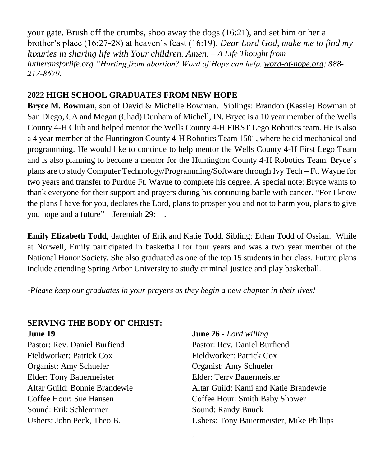your gate. Brush off the crumbs, shoo away the dogs (16:21), and set him or her a brother's place (16:27-28) at heaven's feast (16:19). *Dear Lord God, make me to find my luxuries in sharing life with Your children. Amen. – A Life Thought from lutheransforlife.org."Hurting from abortion? Word of Hope can help. [word-of-hope.org;](https://word-of-hope.org/) 888- 217-8679."*

## **2022 HIGH SCHOOL GRADUATES FROM NEW HOPE**

**Bryce M. Bowman**, son of David & Michelle Bowman. Siblings: Brandon (Kassie) Bowman of San Diego, CA and Megan (Chad) Dunham of Michell, IN. Bryce is a 10 year member of the Wells County 4-H Club and helped mentor the Wells County 4-H FIRST Lego Robotics team. He is also a 4 year member of the Huntington County 4-H Robotics Team 1501, where he did mechanical and programming. He would like to continue to help mentor the Wells County 4-H First Lego Team and is also planning to become a mentor for the Huntington County 4-H Robotics Team. Bryce's plans are to study Computer Technology/Programming/Software through Ivy Tech – Ft. Wayne for two years and transfer to Purdue Ft. Wayne to complete his degree. A special note: Bryce wants to thank everyone for their support and prayers during his continuing battle with cancer. "For I know the plans I have for you, declares the Lord, plans to prosper you and not to harm you, plans to give you hope and a future" – Jeremiah 29:11.

**Emily Elizabeth Todd**, daughter of Erik and Katie Todd. Sibling: Ethan Todd of Ossian. While at Norwell, Emily participated in basketball for four years and was a two year member of the National Honor Society. She also graduated as one of the top 15 students in her class. Future plans include attending Spring Arbor University to study criminal justice and play basketball.

*-Please keep our graduates in your prayers as they begin a new chapter in their lives!*

## **SERVING THE BODY OF CHRIST: June 19 June 26 -** *Lord willing*

Pastor: Rev. Daniel Burfiend Pastor: Rev. Daniel Burfiend Fieldworker: Patrick Cox Fieldworker: Patrick Cox Organist: Amy Schueler Organist: Amy Schueler Elder: Tony Bauermeister Elder: Terry Bauermeister Sound: Erik Schlemmer Sound: Randy Buuck

Altar Guild: Bonnie Brandewie Altar Guild: Kami and Katie Brandewie Coffee Hour: Sue Hansen Coffee Hour: Smith Baby Shower Ushers: John Peck, Theo B. Ushers: Tony Bauermeister, Mike Phillips